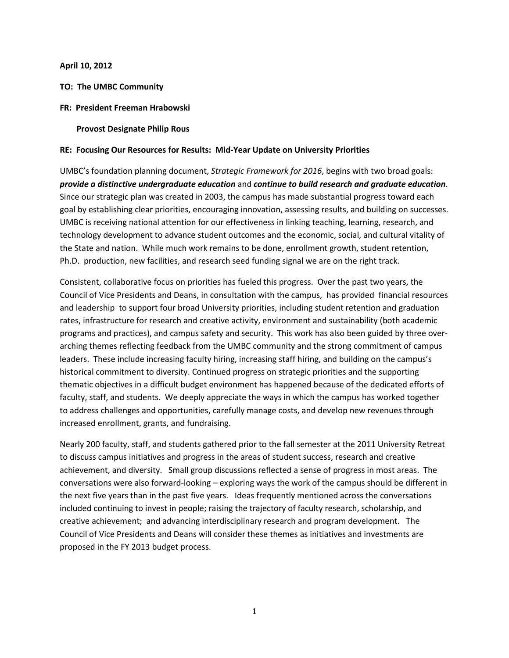#### **April 10, 2012**

### **TO: The UMBC Community**

#### **FR: President Freeman Hrabowski**

#### **Provost Designate Philip Rous**

#### **RE: Focusing Our Resources for Results: Mid-Year Update on University Priorities**

UMBC's foundation planning document, *Strategic Framework for 2016*, begins with two broad goals: *provide a distinctive undergraduate education* and *continue to build research and graduate education*. Since our strategic plan was created in 2003, the campus has made substantial progress toward each goal by establishing clear priorities, encouraging innovation, assessing results, and building on successes. UMBC is receiving national attention for our effectiveness in linking teaching, learning, research, and technology development to advance student outcomes and the economic, social, and cultural vitality of the State and nation. While much work remains to be done, enrollment growth, student retention, Ph.D. production, new facilities, and research seed funding signal we are on the right track.

Consistent, collaborative focus on priorities has fueled this progress. Over the past two years, the Council of Vice Presidents and Deans, in consultation with the campus, has provided financial resources and leadership to support four broad University priorities, including student retention and graduation rates, infrastructure for research and creative activity, environment and sustainability (both academic programs and practices), and campus safety and security. This work has also been guided by three overarching themes reflecting feedback from the UMBC community and the strong commitment of campus leaders. These include increasing faculty hiring, increasing staff hiring, and building on the campus's historical commitment to diversity. Continued progress on strategic priorities and the supporting thematic objectives in a difficult budget environment has happened because of the dedicated efforts of faculty, staff, and students. We deeply appreciate the ways in which the campus has worked together to address challenges and opportunities, carefully manage costs, and develop new revenues through increased enrollment, grants, and fundraising.

Nearly 200 faculty, staff, and students gathered prior to the fall semester at the 2011 University Retreat to discuss campus initiatives and progress in the areas of student success, research and creative achievement, and diversity. Small group discussions reflected a sense of progress in most areas. The conversations were also forward-looking – exploring ways the work of the campus should be different in the next five years than in the past five years. Ideas frequently mentioned across the conversations included continuing to invest in people; raising the trajectory of faculty research, scholarship, and creative achievement; and advancing interdisciplinary research and program development. The Council of Vice Presidents and Deans will consider these themes as initiatives and investments are proposed in the FY 2013 budget process.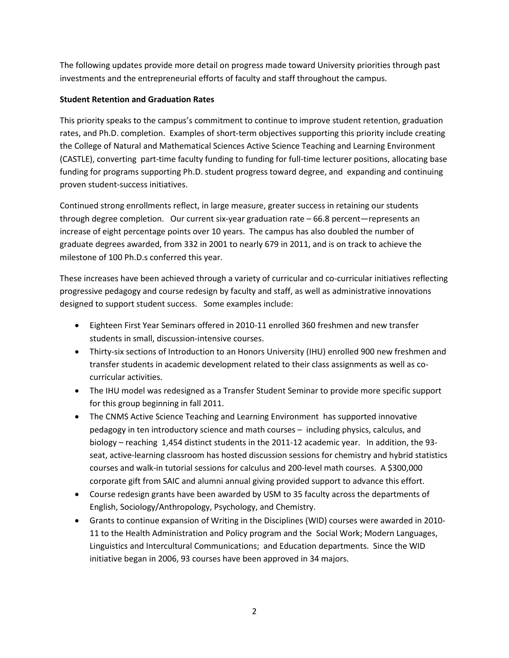The following updates provide more detail on progress made toward University priorities through past investments and the entrepreneurial efforts of faculty and staff throughout the campus.

# **Student Retention and Graduation Rates**

This priority speaks to the campus's commitment to continue to improve student retention, graduation rates, and Ph.D. completion. Examples of short-term objectives supporting this priority include creating the College of Natural and Mathematical Sciences Active Science Teaching and Learning Environment (CASTLE), converting part-time faculty funding to funding for full-time lecturer positions, allocating base funding for programs supporting Ph.D. student progress toward degree, and expanding and continuing proven student-success initiatives.

Continued strong enrollments reflect, in large measure, greater success in retaining our students through degree completion. Our current six-year graduation rate – 66.8 percent—represents an increase of eight percentage points over 10 years. The campus has also doubled the number of graduate degrees awarded, from 332 in 2001 to nearly 679 in 2011, and is on track to achieve the milestone of 100 Ph.D.s conferred this year.

These increases have been achieved through a variety of curricular and co-curricular initiatives reflecting progressive pedagogy and course redesign by faculty and staff, as well as administrative innovations designed to support student success. Some examples include:

- Eighteen First Year Seminars offered in 2010-11 enrolled 360 freshmen and new transfer students in small, discussion-intensive courses.
- Thirty-six sections of Introduction to an Honors University (IHU) enrolled 900 new freshmen and transfer students in academic development related to their class assignments as well as cocurricular activities.
- The IHU model was redesigned as a Transfer Student Seminar to provide more specific support for this group beginning in fall 2011.
- The CNMS Active Science Teaching and Learning Environment has supported innovative pedagogy in ten introductory science and math courses – including physics, calculus, and biology – reaching 1,454 distinct students in the 2011-12 academic year. In addition, the 93 seat, active-learning classroom has hosted discussion sessions for chemistry and hybrid statistics courses and walk-in tutorial sessions for calculus and 200-level math courses. A \$300,000 corporate gift from SAIC and alumni annual giving provided support to advance this effort.
- Course redesign grants have been awarded by USM to 35 faculty across the departments of English, Sociology/Anthropology, Psychology, and Chemistry.
- Grants to continue expansion of Writing in the Disciplines (WID) courses were awarded in 2010- 11 to the Health Administration and Policy program and the Social Work; Modern Languages, Linguistics and Intercultural Communications; and Education departments. Since the WID initiative began in 2006, 93 courses have been approved in 34 majors.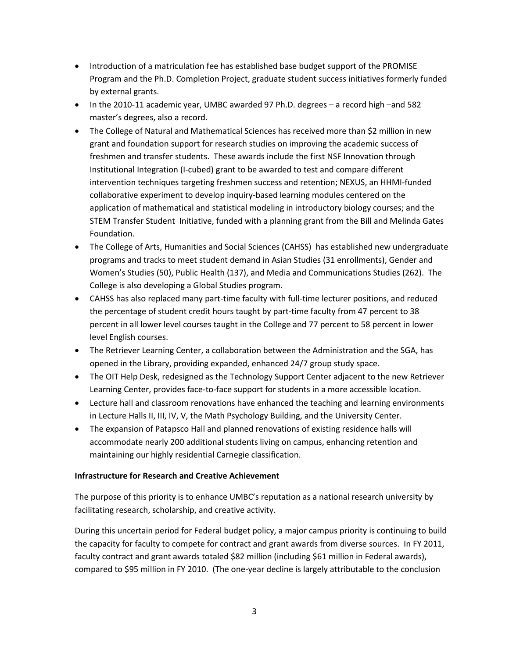- Introduction of a matriculation fee has established base budget support of the PROMISE Program and the Ph.D. Completion Project, graduate student success initiatives formerly funded by external grants.
- In the 2010-11 academic year, UMBC awarded 97 Ph.D. degrees a record high –and 582 master's degrees, also a record.
- The College of Natural and Mathematical Sciences has received more than \$2 million in new grant and foundation support for research studies on improving the academic success of freshmen and transfer students. These awards include the first NSF Innovation through Institutional Integration (I-cubed) grant to be awarded to test and compare different intervention techniques targeting freshmen success and retention; NEXUS, an HHMI-funded collaborative experiment to develop inquiry-based learning modules centered on the application of mathematical and statistical modeling in introductory biology courses; and the STEM Transfer Student Initiative, funded with a planning grant from the Bill and Melinda Gates Foundation.
- The College of Arts, Humanities and Social Sciences (CAHSS) has established new undergraduate programs and tracks to meet student demand in Asian Studies (31 enrollments), Gender and Women's Studies (50), Public Health (137), and Media and Communications Studies (262). The College is also developing a Global Studies program.
- CAHSS has also replaced many part-time faculty with full-time lecturer positions, and reduced the percentage of student credit hours taught by part-time faculty from 47 percent to 38 percent in all lower level courses taught in the College and 77 percent to 58 percent in lower level English courses.
- The Retriever Learning Center, a collaboration between the Administration and the SGA, has opened in the Library, providing expanded, enhanced 24/7 group study space.
- The OIT Help Desk, redesigned as the Technology Support Center adjacent to the new Retriever Learning Center, provides face-to-face support for students in a more accessible location.
- Lecture hall and classroom renovations have enhanced the teaching and learning environments in Lecture Halls II, III, IV, V, the Math Psychology Building, and the University Center.
- The expansion of Patapsco Hall and planned renovations of existing residence halls will accommodate nearly 200 additional students living on campus, enhancing retention and maintaining our highly residential Carnegie classification.

# **Infrastructure for Research and Creative Achievement**

The purpose of this priority is to enhance UMBC's reputation as a national research university by facilitating research, scholarship, and creative activity.

During this uncertain period for Federal budget policy, a major campus priority is continuing to build the capacity for faculty to compete for contract and grant awards from diverse sources. In FY 2011, faculty contract and grant awards totaled \$82 million (including \$61 million in Federal awards), compared to \$95 million in FY 2010. (The one-year decline is largely attributable to the conclusion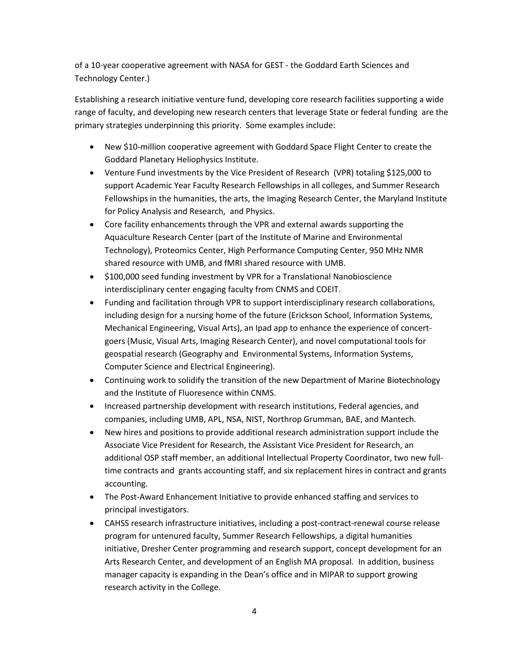of a 10-year cooperative agreement with NASA for GEST - the Goddard Earth Sciences and Technology Center.)

Establishing a research initiative venture fund, developing core research facilities supporting a wide range of faculty, and developing new research centers that leverage State or federal funding are the primary strategies underpinning this priority. Some examples include:

- New \$10-million cooperative agreement with Goddard Space Flight Center to create the Goddard Planetary Heliophysics Institute.
- Venture Fund investments by the Vice President of Research (VPR) totaling \$125,000 to support Academic Year Faculty Research Fellowships in all colleges, and Summer Research Fellowships in the humanities, the arts, the Imaging Research Center, the Maryland Institute for Policy Analysis and Research, and Physics.
- Core facility enhancements through the VPR and external awards supporting the Aquaculture Research Center (part of the Institute of Marine and Environmental Technology), Proteomics Center, High Performance Computing Center, 950 MHz NMR shared resource with UMB, and fMRI shared resource with UMB.
- \$100,000 seed funding investment by VPR for a Translational Nanobioscience interdisciplinary center engaging faculty from CNMS and COEIT.
- Funding and facilitation through VPR to support interdisciplinary research collaborations, including design for a nursing home of the future (Erickson School, Information Systems, Mechanical Engineering, Visual Arts), an Ipad app to enhance the experience of concertgoers (Music, Visual Arts, Imaging Research Center), and novel computational tools for geospatial research (Geography and Environmental Systems, Information Systems, Computer Science and Electrical Engineering).
- Continuing work to solidify the transition of the new Department of Marine Biotechnology and the Institute of Fluoresence within CNMS.
- Increased partnership development with research institutions, Federal agencies, and companies, including UMB, APL, NSA, NIST, Northrop Grumman, BAE, and Mantech.
- New hires and positions to provide additional research administration support include the Associate Vice President for Research, the Assistant Vice President for Research, an additional OSP staff member, an additional Intellectual Property Coordinator, two new fulltime contracts and grants accounting staff, and six replacement hires in contract and grants accounting.
- The Post-Award Enhancement Initiative to provide enhanced staffing and services to principal investigators.
- CAHSS research infrastructure initiatives, including a post-contract-renewal course release program for untenured faculty, Summer Research Fellowships, a digital humanities initiative, Dresher Center programming and research support, concept development for an Arts Research Center, and development of an English MA proposal. In addition, business manager capacity is expanding in the Dean's office and in MIPAR to support growing research activity in the College.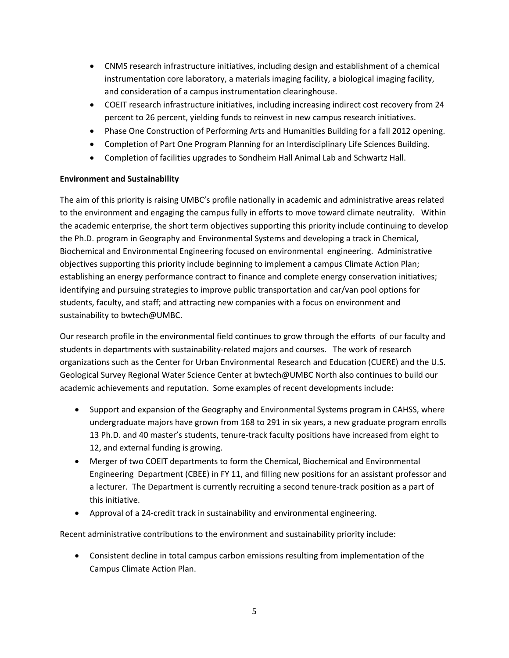- CNMS research infrastructure initiatives, including design and establishment of a chemical instrumentation core laboratory, a materials imaging facility, a biological imaging facility, and consideration of a campus instrumentation clearinghouse.
- COEIT research infrastructure initiatives, including increasing indirect cost recovery from 24 percent to 26 percent, yielding funds to reinvest in new campus research initiatives.
- Phase One Construction of Performing Arts and Humanities Building for a fall 2012 opening.
- Completion of Part One Program Planning for an Interdisciplinary Life Sciences Building.
- Completion of facilities upgrades to Sondheim Hall Animal Lab and Schwartz Hall.

# **Environment and Sustainability**

The aim of this priority is raising UMBC's profile nationally in academic and administrative areas related to the environment and engaging the campus fully in efforts to move toward climate neutrality. Within the academic enterprise, the short term objectives supporting this priority include continuing to develop the Ph.D. program in Geography and Environmental Systems and developing a track in Chemical, Biochemical and Environmental Engineering focused on environmental engineering. Administrative objectives supporting this priority include beginning to implement a campus Climate Action Plan; establishing an energy performance contract to finance and complete energy conservation initiatives; identifying and pursuing strategies to improve public transportation and car/van pool options for students, faculty, and staff; and attracting new companies with a focus on environment and sustainability to bwtech@UMBC.

Our research profile in the environmental field continues to grow through the efforts of our faculty and students in departments with sustainability-related majors and courses. The work of research organizations such as the Center for Urban Environmental Research and Education (CUERE) and the U.S. Geological Survey Regional Water Science Center at bwtech@UMBC North also continues to build our academic achievements and reputation. Some examples of recent developments include:

- Support and expansion of the Geography and Environmental Systems program in CAHSS, where undergraduate majors have grown from 168 to 291 in six years, a new graduate program enrolls 13 Ph.D. and 40 master's students, tenure-track faculty positions have increased from eight to 12, and external funding is growing.
- Merger of two COEIT departments to form the Chemical, Biochemical and Environmental Engineering Department (CBEE) in FY 11, and filling new positions for an assistant professor and a lecturer. The Department is currently recruiting a second tenure-track position as a part of this initiative.
- Approval of a 24-credit track in sustainability and environmental engineering.

Recent administrative contributions to the environment and sustainability priority include:

• Consistent decline in total campus carbon emissions resulting from implementation of the Campus Climate Action Plan.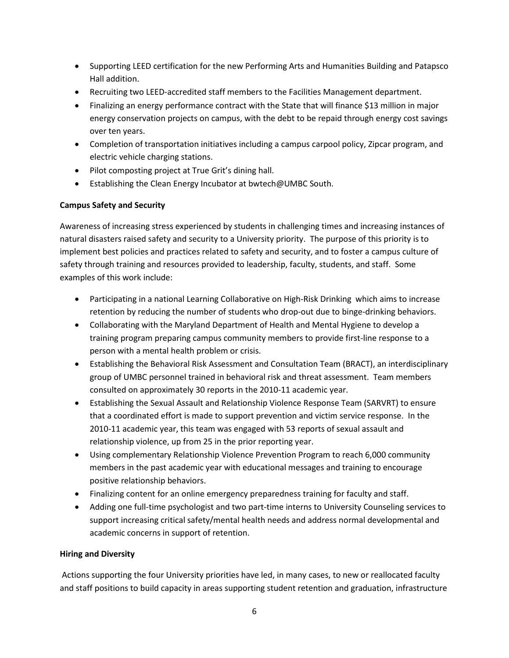- Supporting LEED certification for the new Performing Arts and Humanities Building and Patapsco Hall addition.
- Recruiting two LEED-accredited staff members to the Facilities Management department.
- Finalizing an energy performance contract with the State that will finance \$13 million in major energy conservation projects on campus, with the debt to be repaid through energy cost savings over ten years.
- Completion of transportation initiatives including a campus carpool policy, Zipcar program, and electric vehicle charging stations.
- Pilot composting project at True Grit's dining hall.
- Establishing the Clean Energy Incubator at bwtech@UMBC South.

# **Campus Safety and Security**

Awareness of increasing stress experienced by students in challenging times and increasing instances of natural disasters raised safety and security to a University priority. The purpose of this priority is to implement best policies and practices related to safety and security, and to foster a campus culture of safety through training and resources provided to leadership, faculty, students, and staff. Some examples of this work include:

- Participating in a national Learning Collaborative on High-Risk Drinking which aims to increase retention by reducing the number of students who drop-out due to binge-drinking behaviors.
- Collaborating with the Maryland Department of Health and Mental Hygiene to develop a training program preparing campus community members to provide first-line response to a person with a mental health problem or crisis.
- Establishing the Behavioral Risk Assessment and Consultation Team (BRACT), an interdisciplinary group of UMBC personnel trained in behavioral risk and threat assessment. Team members consulted on approximately 30 reports in the 2010-11 academic year.
- Establishing the Sexual Assault and Relationship Violence Response Team (SARVRT) to ensure that a coordinated effort is made to support prevention and victim service response. In the 2010-11 academic year, this team was engaged with 53 reports of sexual assault and relationship violence, up from 25 in the prior reporting year.
- Using complementary Relationship Violence Prevention Program to reach 6,000 community members in the past academic year with educational messages and training to encourage positive relationship behaviors.
- Finalizing content for an online emergency preparedness training for faculty and staff.
- Adding one full-time psychologist and two part-time interns to University Counseling services to support increasing critical safety/mental health needs and address normal developmental and academic concerns in support of retention.

### **Hiring and Diversity**

Actions supporting the four University priorities have led, in many cases, to new or reallocated faculty and staff positions to build capacity in areas supporting student retention and graduation, infrastructure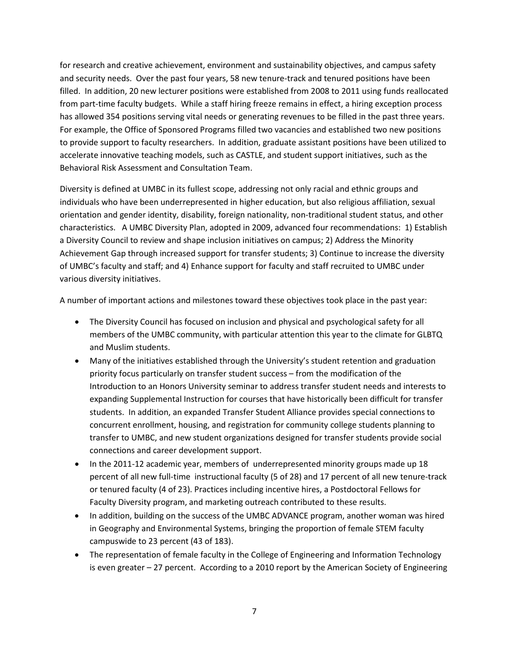for research and creative achievement, environment and sustainability objectives, and campus safety and security needs. Over the past four years, 58 new tenure-track and tenured positions have been filled. In addition, 20 new lecturer positions were established from 2008 to 2011 using funds reallocated from part-time faculty budgets. While a staff hiring freeze remains in effect, a hiring exception process has allowed 354 positions serving vital needs or generating revenues to be filled in the past three years. For example, the Office of Sponsored Programs filled two vacancies and established two new positions to provide support to faculty researchers. In addition, graduate assistant positions have been utilized to accelerate innovative teaching models, such as CASTLE, and student support initiatives, such as the Behavioral Risk Assessment and Consultation Team.

Diversity is defined at UMBC in its fullest scope, addressing not only racial and ethnic groups and individuals who have been underrepresented in higher education, but also religious affiliation, sexual orientation and gender identity, disability, foreign nationality, non-traditional student status, and other characteristics. A UMBC Diversity Plan, adopted in 2009, advanced four recommendations: 1) Establish a Diversity Council to review and shape inclusion initiatives on campus; 2) Address the Minority Achievement Gap through increased support for transfer students; 3) Continue to increase the diversity of UMBC's faculty and staff; and 4) Enhance support for faculty and staff recruited to UMBC under various diversity initiatives.

A number of important actions and milestones toward these objectives took place in the past year:

- The Diversity Council has focused on inclusion and physical and psychological safety for all members of the UMBC community, with particular attention this year to the climate for GLBTQ and Muslim students.
- Many of the initiatives established through the University's student retention and graduation priority focus particularly on transfer student success – from the modification of the Introduction to an Honors University seminar to address transfer student needs and interests to expanding Supplemental Instruction for courses that have historically been difficult for transfer students. In addition, an expanded Transfer Student Alliance provides special connections to concurrent enrollment, housing, and registration for community college students planning to transfer to UMBC, and new student organizations designed for transfer students provide social connections and career development support.
- In the 2011-12 academic year, members of underrepresented minority groups made up 18 percent of all new full-time instructional faculty (5 of 28) and 17 percent of all new tenure-track or tenured faculty (4 of 23). Practices including incentive hires, a Postdoctoral Fellows for Faculty Diversity program, and marketing outreach contributed to these results.
- In addition, building on the success of the UMBC ADVANCE program, another woman was hired in Geography and Environmental Systems, bringing the proportion of female STEM faculty campuswide to 23 percent (43 of 183).
- The representation of female faculty in the College of Engineering and Information Technology is even greater – 27 percent. According to a 2010 report by the American Society of Engineering